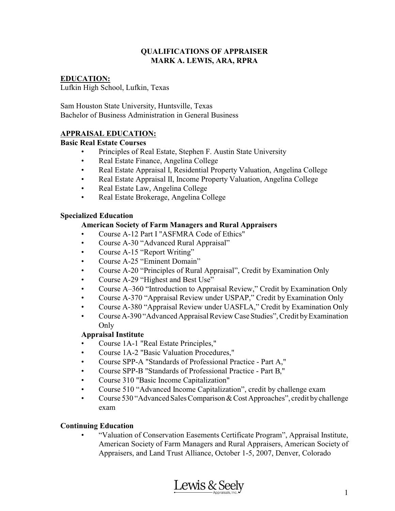#### **QUALIFICATIONS OF APPRAISER MARK A. LEWIS, ARA, RPRA**

# **EDUCATION:**

Lufkin High School, Lufkin, Texas

Sam Houston State University, Huntsville, Texas Bachelor of Business Administration in General Business

#### **APPRAISAL EDUCATION:**

#### **Basic Real Estate Courses**

- Principles of Real Estate, Stephen F. Austin State University
- Real Estate Finance, Angelina College
- Real Estate Appraisal I, Residential Property Valuation, Angelina College
- Real Estate Appraisal II, Income Property Valuation, Angelina College
- Real Estate Law, Angelina College
- Real Estate Brokerage, Angelina College

#### **Specialized Education**

#### **American Society of Farm Managers and Rural Appraisers**

- Course A-12 Part I "ASFMRA Code of Ethics"
- Course A-30 "Advanced Rural Appraisal"
- Course A-15 "Report Writing"
- Course A-25 "Eminent Domain"
- Course A-20 "Principles of Rural Appraisal", Credit by Examination Only
- Course A-29 "Highest and Best Use"
- Course A–360 "Introduction to Appraisal Review," Credit by Examination Only
- Course A-370 "Appraisal Review under USPAP," Credit by Examination Only
- Course A-380 "Appraisal Review under UASFLA," Credit by Examination Only
- Course A-390 "Advanced Appraisal Review Case Studies", Credit by Examination Only

## **Appraisal Institute**

- Course 1A-1 "Real Estate Principles,"
- Course 1A-2 "Basic Valuation Procedures,"
- Course SPP-A "Standards of Professional Practice Part A,"
- Course SPP-B "Standards of Professional Practice Part B,"
- Course 310 "Basic Income Capitalization"
- Course 510 "Advanced Income Capitalization", credit by challenge exam
- Course 530 "Advanced Sales Comparison & Cost Approaches", credit by challenge exam

## **Continuing Education**

• "Valuation of Conservation Easements Certificate Program", Appraisal Institute, American Society of Farm Managers and Rural Appraisers, American Society of Appraisers, and Land Trust Alliance, October 1-5, 2007, Denver, Colorado

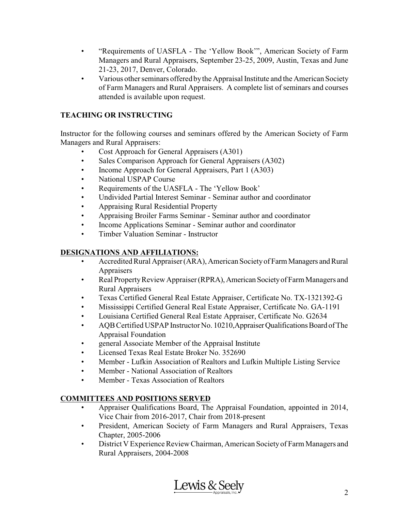- "Requirements of UASFLA The 'Yellow Book'", American Society of Farm Managers and Rural Appraisers, September 23-25, 2009, Austin, Texas and June 21-23, 2017, Denver, Colorado.
- Various other seminars offered bythe Appraisal Institute and the American Society of Farm Managers and Rural Appraisers. A complete list of seminars and courses attended is available upon request.

## **TEACHING OR INSTRUCTING**

Instructor for the following courses and seminars offered by the American Society of Farm Managers and Rural Appraisers:

- Cost Approach for General Appraisers (A301)
- Sales Comparison Approach for General Appraisers (A302)
- Income Approach for General Appraisers, Part 1 (A303)
- National USPAP Course
- Requirements of the UASFLA The 'Yellow Book'
- Undivided Partial Interest Seminar Seminar author and coordinator
- Appraising Rural Residential Property
- Appraising Broiler Farms Seminar Seminar author and coordinator
- Income Applications Seminar Seminar author and coordinator
- Timber Valuation Seminar Instructor

### **DESIGNATIONS AND AFFILIATIONS:**

- Accredited Rural Appraiser (ARA), American Society of Farm Managers and Rural **Appraisers**
- Real Property Review Appraiser (RPRA), American Society of Farm Managers and Rural Appraisers
- Texas Certified General Real Estate Appraiser, Certificate No. TX-1321392-G
- Mississippi Certified General Real Estate Appraiser, Certificate No. GA-1191
- Louisiana Certified General Real Estate Appraiser, Certificate No. G2634
- AQB Certified USPAP Instructor No. 10210, Appraiser Qualifications Board of The Appraisal Foundation
- general Associate Member of the Appraisal Institute
- Licensed Texas Real Estate Broker No. 352690
- Member Lufkin Association of Realtors and Lufkin Multiple Listing Service
- Member National Association of Realtors
- Member Texas Association of Realtors

## **COMMITTEES AND POSITIONS SERVED**

- Appraiser Qualifications Board, The Appraisal Foundation, appointed in 2014, Vice Chair from 2016-2017, Chair from 2018-present
- President, American Society of Farm Managers and Rural Appraisers, Texas Chapter, 2005-2006
- District V Experience Review Chairman, American Societyof Farm Managers and Rural Appraisers, 2004-2008